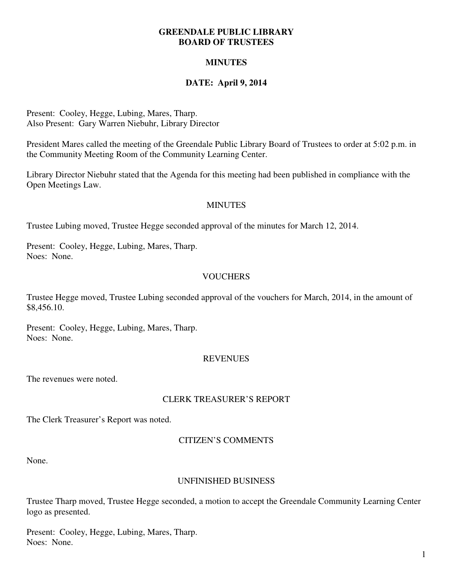### **GREENDALE PUBLIC LIBRARY BOARD OF TRUSTEES**

# **MINUTES**

# **DATE: April 9, 2014**

Present: Cooley, Hegge, Lubing, Mares, Tharp. Also Present: Gary Warren Niebuhr, Library Director

President Mares called the meeting of the Greendale Public Library Board of Trustees to order at 5:02 p.m. in the Community Meeting Room of the Community Learning Center.

Library Director Niebuhr stated that the Agenda for this meeting had been published in compliance with the Open Meetings Law.

### **MINUTES**

Trustee Lubing moved, Trustee Hegge seconded approval of the minutes for March 12, 2014.

Present: Cooley, Hegge, Lubing, Mares, Tharp. Noes: None.

### **VOUCHERS**

Trustee Hegge moved, Trustee Lubing seconded approval of the vouchers for March, 2014, in the amount of \$8,456.10.

Present: Cooley, Hegge, Lubing, Mares, Tharp. Noes: None.

### **REVENUES**

The revenues were noted.

### CLERK TREASURER'S REPORT

The Clerk Treasurer's Report was noted.

### CITIZEN'S COMMENTS

None.

### UNFINISHED BUSINESS

Trustee Tharp moved, Trustee Hegge seconded, a motion to accept the Greendale Community Learning Center logo as presented.

Present: Cooley, Hegge, Lubing, Mares, Tharp. Noes: None.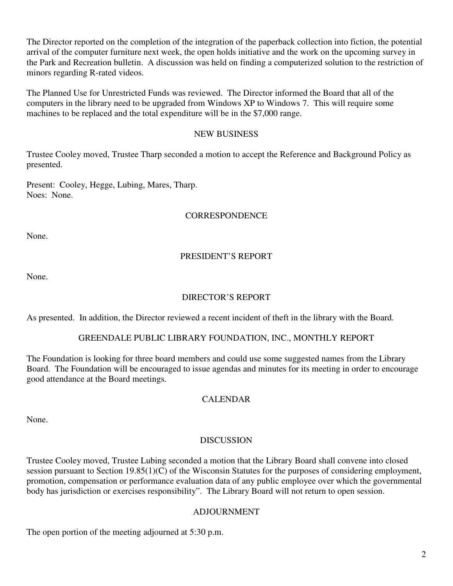The Director reported on the completion of the integration of the paperback collection into fiction, the potential arrival of the computer furniture next week, the open holds initiative and the work on the upcoming survey in the Park and Recreation bulletin. A discussion was held on finding a computerized solution to the restriction of minors regarding R-rated videos.

The Planned Use for Unrestricted Funds was reviewed. The Director informed the Board that all of the computers in the library need to be upgraded from Windows XP to Windows 7. This will require some machines to be replaced and the total expenditure will be in the \$7,000 range.

### NEW BUSINESS

Trustee Cooley moved, Trustee Tharp seconded a motion to accept the Reference and Background Policy as presented.

Present: Cooley, Hegge, Lubing, Mares, Tharp. Noes: None.

### **CORRESPONDENCE**

None.

# PRESIDENT'S REPORT

None.

## DIRECTOR'S REPORT

As presented. In addition, the Director reviewed a recent incident of theft in the library with the Board.

### GREENDALE PUBLIC LIBRARY FOUNDATION, INC., MONTHLY REPORT

The Foundation is looking for three board members and could use some suggested names from the Library Board. The Foundation will be encouraged to issue agendas and minutes for its meeting in order to encourage good attendance at the Board meetings.

### CALENDAR

None.

### DISCUSSION

Trustee Cooley moved, Trustee Lubing seconded a motion that the Library Board shall convene into closed session pursuant to Section 19.85(1)(C) of the Wisconsin Statutes for the purposes of considering employment, promotion, compensation or performance evaluation data of any public employee over which the governmental body has jurisdiction or exercises responsibility". The Library Board will not return to open session.

### ADJOURNMENT

The open portion of the meeting adjourned at 5:30 p.m.